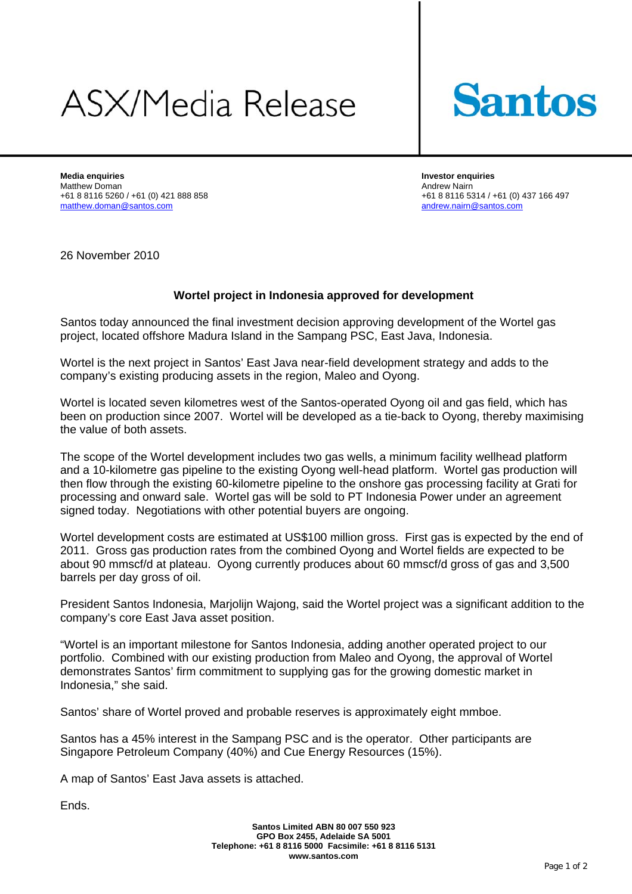## **ASX/Media Release**



**Media enquiries Investor enquiries**  Matthew Doman <br>
+61 8 8116 5260 / +61 (0) 421 888 858 <br>
+61 8 8116 53 matthew.doman@santos.com andrew.nairn@santos.com

+61 8 8116 5314 / +61 (0) 437 166 497

26 November 2010

## **Wortel project in Indonesia approved for development**

Santos today announced the final investment decision approving development of the Wortel gas project, located offshore Madura Island in the Sampang PSC, East Java, Indonesia.

Wortel is the next project in Santos' East Java near-field development strategy and adds to the company's existing producing assets in the region, Maleo and Oyong.

Wortel is located seven kilometres west of the Santos-operated Oyong oil and gas field, which has been on production since 2007. Wortel will be developed as a tie-back to Oyong, thereby maximising the value of both assets.

The scope of the Wortel development includes two gas wells, a minimum facility wellhead platform and a 10-kilometre gas pipeline to the existing Oyong well-head platform. Wortel gas production will then flow through the existing 60-kilometre pipeline to the onshore gas processing facility at Grati for processing and onward sale. Wortel gas will be sold to PT Indonesia Power under an agreement signed today. Negotiations with other potential buyers are ongoing.

Wortel development costs are estimated at US\$100 million gross. First gas is expected by the end of 2011. Gross gas production rates from the combined Oyong and Wortel fields are expected to be about 90 mmscf/d at plateau. Oyong currently produces about 60 mmscf/d gross of gas and 3,500 barrels per day gross of oil.

President Santos Indonesia, Marjolijn Wajong, said the Wortel project was a significant addition to the company's core East Java asset position.

"Wortel is an important milestone for Santos Indonesia, adding another operated project to our portfolio. Combined with our existing production from Maleo and Oyong, the approval of Wortel demonstrates Santos' firm commitment to supplying gas for the growing domestic market in Indonesia," she said.

Santos' share of Wortel proved and probable reserves is approximately eight mmboe.

Santos has a 45% interest in the Sampang PSC and is the operator. Other participants are Singapore Petroleum Company (40%) and Cue Energy Resources (15%).

A map of Santos' East Java assets is attached.

Ends.